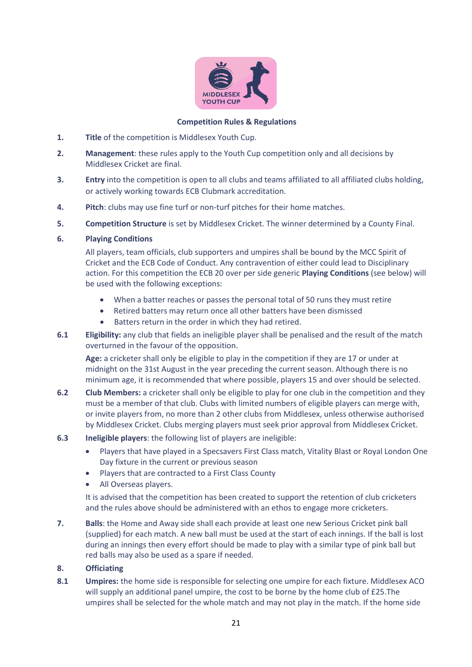

### **Competition Rules & Regulations**

- **1. Title** of the competition is Middlesex Youth Cup.
- **2. Management**: these rules apply to the Youth Cup competition only and all decisions by Middlesex Cricket are final.
- **3. Entry** into the competition is open to all clubs and teams affiliated to all affiliated clubs holding, or actively working towards ECB Clubmark accreditation.
- **4. Pitch**: clubs may use fine turf or non-turf pitches for their home matches.
- **5. Competition Structure** is set by Middlesex Cricket. The winner determined by a County Final.

# **6. Playing Conditions**

All players, team officials, club supporters and umpires shall be bound by the MCC Spirit of Cricket and the ECB Code of Conduct. Any contravention of either could lead to Disciplinary action. For this competition the ECB 20 over per side generic **Playing Conditions** (see below) will be used with the following exceptions:

- When a batter reaches or passes the personal total of 50 runs they must retire
- Retired batters may return once all other batters have been dismissed
- Batters return in the order in which they had retired.
- **6.1 Eligibility:** any club that fields an ineligible player shall be penalised and the result of the match overturned in the favour of the opposition.

**Age:** a cricketer shall only be eligible to play in the competition if they are 17 or under at midnight on the 31st August in the year preceding the current season. Although there is no minimum age, it is recommended that where possible, players 15 and over should be selected.

- **6.2 Club Members:** a cricketer shall only be eligible to play for one club in the competition and they must be a member of that club. Clubs with limited numbers of eligible players can merge with, or invite players from, no more than 2 other clubs from Middlesex, unless otherwise authorised by Middlesex Cricket. Clubs merging players must seek prior approval from Middlesex Cricket.
- **6.3 Ineligible players**: the following list of players are ineligible:
	- Players that have played in a Specsavers First Class match, Vitality Blast or Royal London One Day fixture in the current or previous season
	- Players that are contracted to a First Class County
	- All Overseas players.

It is advised that the competition has been created to support the retention of club cricketers and the rules above should be administered with an ethos to engage more cricketers.

**7. Balls**: the Home and Away side shall each provide at least one new Serious Cricket pink ball (supplied) for each match. A new ball must be used at the start of each innings. If the ball is lost during an innings then every effort should be made to play with a similar type of pink ball but red balls may also be used as a spare if needed.

# **8. Officiating**

**8.1 Umpires:** the home side is responsible for selecting one umpire for each fixture. Middlesex ACO will supply an additional panel umpire, the cost to be borne by the home club of £25.The umpires shall be selected for the whole match and may not play in the match. If the home side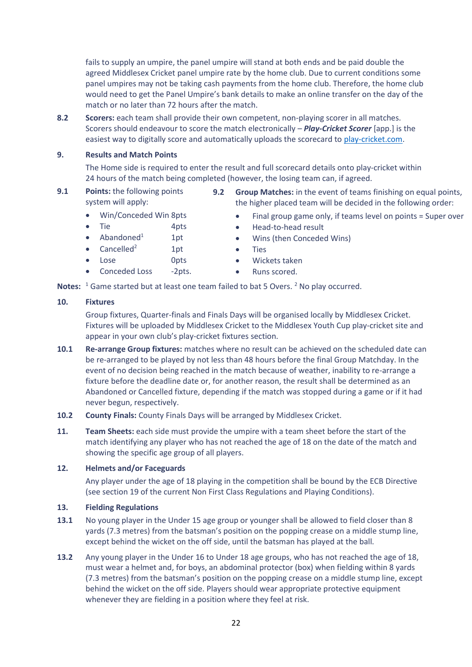fails to supply an umpire, the panel umpire will stand at both ends and be paid double the agreed Middlesex Cricket panel umpire rate by the home club. Due to current conditions some panel umpires may not be taking cash payments from the home club. Therefore, the home club would need to get the Panel Umpire's bank details to make an online transfer on the day of the match or no later than 72 hours after the match.

**8.2 Scorers:** each team shall provide their own competent, non-playing scorer in all matches. Scorers should endeavour to score the match electronically – *Play-Cricket Scorer* [app.] is the easiest way to digitally score and automatically uploads the scorecard to [play-cricket.com.](http://www.play-cricket.com/)

### **9. Results and Match Points**

The Home side is required to enter the result and full scorecard details onto play-cricket within 24 hours of the match being completed (however, the losing team can, if agreed.

- **9.1 Points:** the following points system will apply:
- **9.2 Group Matches:** in the event of teams finishing on equal points, the higher placed team will be decided in the following order:
- Win/Conceded Win 8pts
- Tie 4pts
- Abandoned $1$  1pt
- Cancelled<sup>2</sup> 1pt
- Lose 0pts
- Conceded Loss -2pts.
- 
- Final group game only, if teams level on points = Super over
- Head-to-head result
- Wins (then Conceded Wins)
- Ties
- Wickets taken
- Runs scored.

Notes: <sup>1</sup> Game started but at least one team failed to bat 5 Overs. <sup>2</sup> No play occurred.

# **10. Fixtures**

Group fixtures, Quarter-finals and Finals Days will be organised locally by Middlesex Cricket. Fixtures will be uploaded by Middlesex Cricket to the Middlesex Youth Cup play-cricket site and appear in your own club's play-cricket fixtures section.

- **10.1 Re-arrange Group fixtures:** matches where no result can be achieved on the scheduled date can be re-arranged to be played by not less than 48 hours before the final Group Matchday. In the event of no decision being reached in the match because of weather, inability to re-arrange a fixture before the deadline date or, for another reason, the result shall be determined as an Abandoned or Cancelled fixture, depending if the match was stopped during a game or if it had never begun, respectively.
- **10.2 County Finals:** County Finals Days will be arranged by Middlesex Cricket.
- **11. Team Sheets:** each side must provide the umpire with a team sheet before the start of the match identifying any player who has not reached the age of 18 on the date of the match and showing the specific age group of all players.

# **12. Helmets and/or Faceguards**

Any player under the age of 18 playing in the competition shall be bound by the ECB Directive (see section 19 of the current Non First Class Regulations and Playing Conditions).

# **13. Fielding Regulations**

- **13.1** No young player in the Under 15 age group or younger shall be allowed to field closer than 8 yards (7.3 metres) from the batsman's position on the popping crease on a middle stump line, except behind the wicket on the off side, until the batsman has played at the ball.
- **13.2** Any young player in the Under 16 to Under 18 age groups, who has not reached the age of 18, must wear a helmet and, for boys, an abdominal protector (box) when fielding within 8 yards (7.3 metres) from the batsman's position on the popping crease on a middle stump line, except behind the wicket on the off side. Players should wear appropriate protective equipment whenever they are fielding in a position where they feel at risk.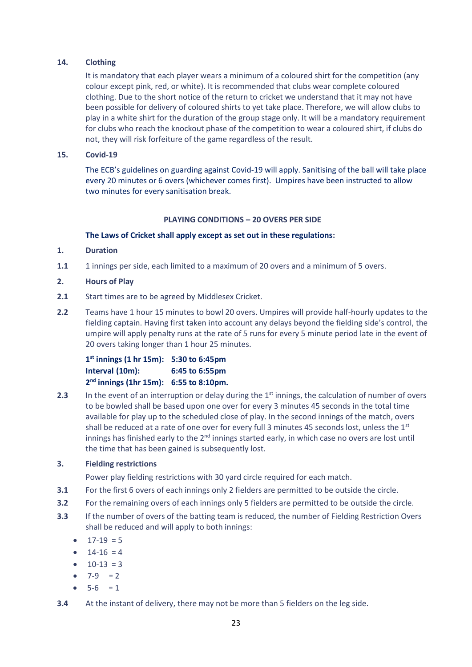# **14. Clothing**

It is mandatory that each player wears a minimum of a coloured shirt for the competition (any colour except pink, red, or white). It is recommended that clubs wear complete coloured clothing. Due to the short notice of the return to cricket we understand that it may not have been possible for delivery of coloured shirts to yet take place. Therefore, we will allow clubs to play in a white shirt for the duration of the group stage only. It will be a mandatory requirement for clubs who reach the knockout phase of the competition to wear a coloured shirt, if clubs do not, they will risk forfeiture of the game regardless of the result.

## **15. Covid-19**

The ECB's guidelines on guarding against Covid-19 will apply. Sanitising of the ball will take place every 20 minutes or 6 overs (whichever comes first). Umpires have been instructed to allow two minutes for every sanitisation break.

# **PLAYING CONDITIONS – 20 OVERS PER SIDE**

# **The Laws of Cricket shall apply except as set out in these regulations:**

# **1. Duration**

- **1.1** 1 innings per side, each limited to a maximum of 20 overs and a minimum of 5 overs.
- **2. Hours of Play**
- **2.1** Start times are to be agreed by Middlesex Cricket.
- **2.2** Teams have 1 hour 15 minutes to bowl 20 overs. Umpires will provide half-hourly updates to the fielding captain. Having first taken into account any delays beyond the fielding side's control, the umpire will apply penalty runs at the rate of 5 runs for every 5 minute period late in the event of 20 overs taking longer than 1 hour 25 minutes.

**1 st innings (1 hr 15m): 5:30 to 6:45pm Interval (10m): 6:45 to 6:55pm 2 nd innings (1hr 15m): 6:55 to 8:10pm.**

**2.3** In the event of an interruption or delay during the 1<sup>st</sup> innings, the calculation of number of overs to be bowled shall be based upon one over for every 3 minutes 45 seconds in the total time available for play up to the scheduled close of play. In the second innings of the match, overs shall be reduced at a rate of one over for every full 3 minutes 45 seconds lost, unless the 1<sup>st</sup> innings has finished early to the  $2<sup>nd</sup>$  innings started early, in which case no overs are lost until the time that has been gained is subsequently lost.

### **3. Fielding restrictions**

Power play fielding restrictions with 30 yard circle required for each match.

- **3.1** For the first 6 overs of each innings only 2 fielders are permitted to be outside the circle.
- **3.2** For the remaining overs of each innings only 5 fielders are permitted to be outside the circle.
- **3.3** If the number of overs of the batting team is reduced, the number of Fielding Restriction Overs shall be reduced and will apply to both innings:
	- $17-19 = 5$
	- $14-16 = 4$
	- $10-13 = 3$
	- $7-9 = 2$
	- $5-6 = 1$
- **3.4** At the instant of delivery, there may not be more than 5 fielders on the leg side.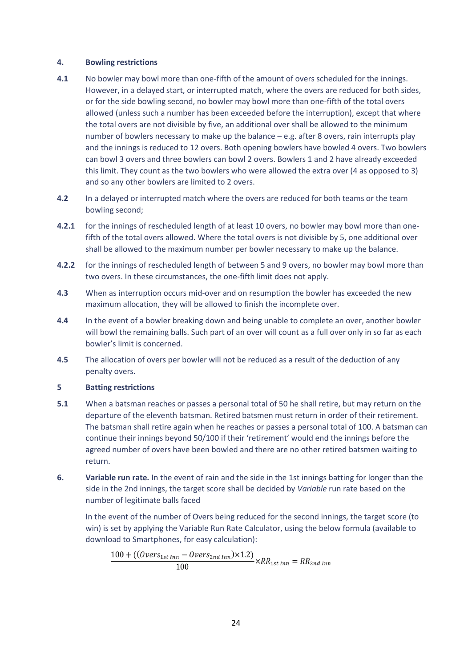#### **4. Bowling restrictions**

- **4.1** No bowler may bowl more than one-fifth of the amount of overs scheduled for the innings. However, in a delayed start, or interrupted match, where the overs are reduced for both sides, or for the side bowling second, no bowler may bowl more than one-fifth of the total overs allowed (unless such a number has been exceeded before the interruption), except that where the total overs are not divisible by five, an additional over shall be allowed to the minimum number of bowlers necessary to make up the balance – e.g. after 8 overs, rain interrupts play and the innings is reduced to 12 overs. Both opening bowlers have bowled 4 overs. Two bowlers can bowl 3 overs and three bowlers can bowl 2 overs. Bowlers 1 and 2 have already exceeded this limit. They count as the two bowlers who were allowed the extra over (4 as opposed to 3) and so any other bowlers are limited to 2 overs.
- **4.2** In a delayed or interrupted match where the overs are reduced for both teams or the team bowling second;
- **4.2.1** for the innings of rescheduled length of at least 10 overs, no bowler may bowl more than onefifth of the total overs allowed. Where the total overs is not divisible by 5, one additional over shall be allowed to the maximum number per bowler necessary to make up the balance.
- **4.2.2** for the innings of rescheduled length of between 5 and 9 overs, no bowler may bowl more than two overs. In these circumstances, the one-fifth limit does not apply.
- **4.3** When as interruption occurs mid-over and on resumption the bowler has exceeded the new maximum allocation, they will be allowed to finish the incomplete over.
- **4.4** In the event of a bowler breaking down and being unable to complete an over, another bowler will bowl the remaining balls. Such part of an over will count as a full over only in so far as each bowler's limit is concerned.
- **4.5** The allocation of overs per bowler will not be reduced as a result of the deduction of any penalty overs.

### **5 Batting restrictions**

- **5.1** When a batsman reaches or passes a personal total of 50 he shall retire, but may return on the departure of the eleventh batsman. Retired batsmen must return in order of their retirement. The batsman shall retire again when he reaches or passes a personal total of 100. A batsman can continue their innings beyond 50/100 if their 'retirement' would end the innings before the agreed number of overs have been bowled and there are no other retired batsmen waiting to return.
- **6. Variable run rate.** In the event of rain and the side in the 1st innings batting for longer than the side in the 2nd innings, the target score shall be decided by *Variable* run rate based on the number of legitimate balls faced

In the event of the number of Overs being reduced for the second innings, the target score (to win) is set by applying the Variable Run Rate Calculator, using the below formula (available to download to Smartphones, for easy calculation):

$$
\frac{100 + ((\text{Overs}_{1st\,Inn} - \text{Overs}_{2nd\,Inn}) \times 1.2)}{100} \times RR_{1st\,Inn} = RR_{2nd\,Inn}
$$